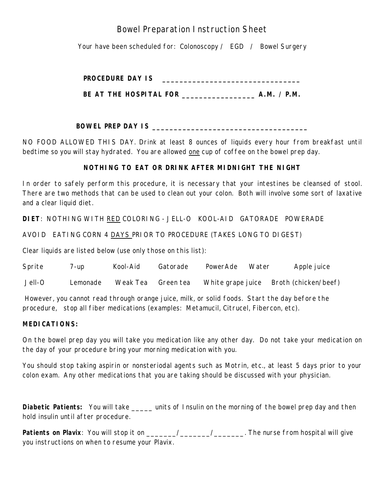### Bowel Preparation Instruction Sheet

Your have been scheduled for: Colonoscopy / EGD / Bowel Surgery

| <b>PROCEDURE DAY IS</b> |  |
|-------------------------|--|
|-------------------------|--|

**BE AT THE HOSPITAL FOR \_\_\_\_\_\_\_\_\_\_\_\_\_\_\_\_\_ A.M. / P.M.**

**BOWEL PREP DAY IS \_\_\_\_\_\_\_\_\_\_\_\_\_\_\_\_\_\_\_\_\_\_\_\_\_\_\_\_\_\_\_\_\_\_\_\_**

NO FOOD ALLOWED THIS DAY. Drink at least 8 ounces of liquids every hour from breakfast until bedtime so you will stay hydrated. You are allowed one cup of coffee on the bowel prep day.

#### **NOTHING TO EAT OR DRINK AFTER MIDNIGHT THE NIGHT**

In order to safely perform this procedure, it is necessary that your intestines be cleansed of stool. There are two methods that can be used to clean out your colon. Both will involve some sort of laxative and a clear liquid diet.

**DIET**: NOTHING WITH RED COLORING - JELL-O KOOL-AID GATORADE POWERADE

AVOID EATING CORN 4 DAYS PRIOR TO PROCEDURE (TAKES LONG TO DIGEST)

Clear liquids are listed below (use only those on this list):

Sprite 7-up Kool-Aid Gatorade PowerAde Water Apple juice

Jell-O Lemonade Weak Tea Green tea White grape juice Broth (chicken/beef)

However, you cannot read through orange juice, milk, or solid foods. Start the day before the procedure, stop all fiber medications (examples: Metamucil, Citrucel, Fibercon, etc).

#### **MEDICATIONS:**

On the bowel prep day you will take you medication like any other day. Do not take your medication on the day of your procedure bring your morning medication with you.

You should stop taking aspirin or nonsteriodal agents such as Motrin, etc., at least 5 days prior to your colon exam. Any other medications that you are taking should be discussed with your physician.

**Diabetic Patients:** You will take \_\_\_\_\_ units of Insulin on the morning of the bowel prep day and then hold insulin until after procedure.

Patients on Plavix: You will stop it on \_\_\_\_\_\_/\_\_\_\_\_\_\_\_/\_\_\_\_\_\_\_\_. The nurse from hospital will give you instructions on when to resume your Plavix.